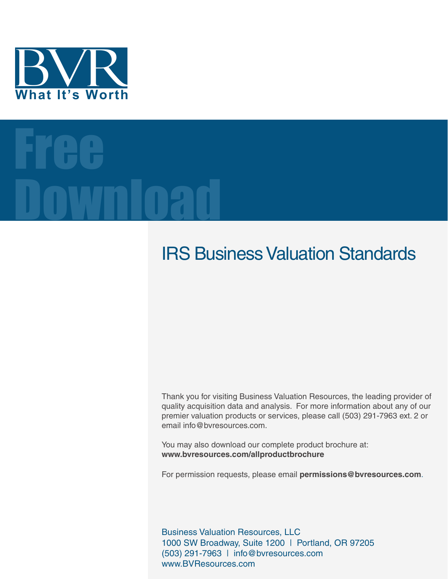

# Download

# IRS Business Valuation Standards

Thank you for visiting Business Valuation Resources, the leading provider of quality acquisition data and analysis. For more information about any of our premier valuation products or services, please call (503) 291-7963 ext. 2 or email info@bvresources.com.

You may also download our complete product brochure at: **www.bvresources.com/allproductbrochure**

For permission requests, please email **permissions@bvresources.com**.

Business Valuation Resources, LLC 1000 SW Broadway, Suite 1200 | Portland, OR 97205 (503) 291-7963 | info@bvresources.com www.BVResources.com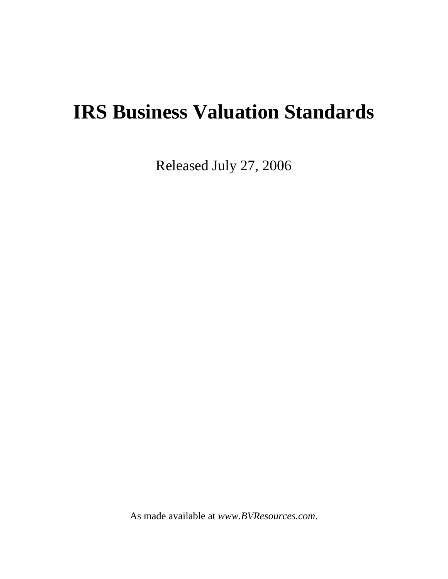# **IRS Business Valuation Standards**

Released July 27, 2006

As made available at *www.BVResources.com*.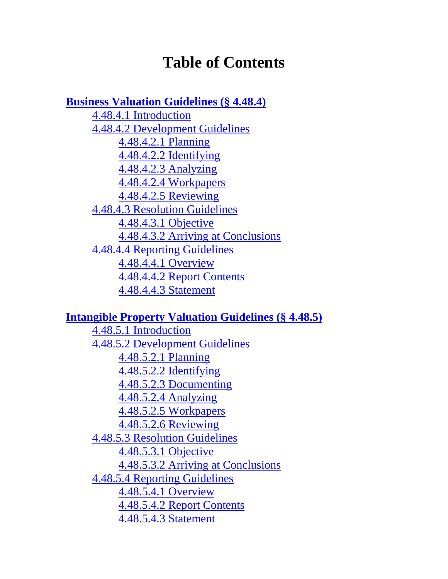# **Table of Contents**

**[Business Valuation Guidelines \(§ 4.48.4\)](#page-4-0)**

[4.48.4.1 Introduction](#page-7-0) [4.48.4.2 Development Guidelines](#page-7-0) 4.48.4.2.1 Planning 4.48.4.2.2 Identifying 4.48.4.2.3 Analyzing [4.48.4.2.4 Workpapers](#page-7-0) 4.48.4.2.5 Reviewing 4.48.4.3 Resolution Guidelines 4.48.4.3.1 Objective [4.48.4.3.2 Arriving at Conclusions](#page-9-0) [4.48.4.4 Reporting Guidelines](#page-10-0) 4.48.4.4.1 Overview 4.48.4.4.2 Report Contents 4.48.4.4.3 Statement

### **[Intangible Property Valuation Guidelines \(§ 4.48.5\)](#page-11-0)**

[4.48.5.1 Introduction](#page-14-0) [4.48.5.2 Development Guidelines](#page-14-0) 4.48.5.2.1 Planning 4.48.5.2.2 Identifying 4.48.5.2.3 Documenting 4.48.5.2.4 Analyzing 4.48.5.2.5 Workpapers 4.48.5.2.6 Reviewing 4.48.5.3 Resolution Guidelines 4.48.5.3.1 Objective [4.48.5.3.2 Arriving at Conclusions](#page-19-0) [4.48.5.4 Reporting Guidelines](#page-19-0) 4.48.5.4.1 Overview 4.48.5.4.2 Report Contents 4.48.5.4.3 Statement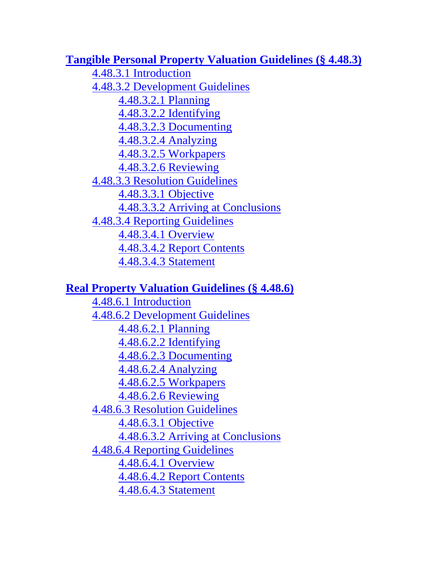### **[Tangible Personal Property Valuation Guidelines \(§ 4.48.3\)](#page-21-0)**

[4.48.3.1 Introduction](#page-24-0) [4.48.3.2 Development Guidelines](#page-24-0) 4.48.3.2.1 Planning 4.48.3.2.2 Identifying 4.48.3.2.3 Documenting 4.48.3.2.4 Analyzing 4.48.3.2.5 Workpapers 4.48.3.2.6 Reviewing 4.48.3.3 Resolution Guidelines 4.48.3.3.1 Objective [4.48.3.3.2 Arriving at Conclusions](#page-27-0) [4.48.3.4 Reporting Guidelines](#page-28-0) 4.48.3.4.1 Overview 4.48.3.4.2 Report Contents 4.48.3.4.3 Statement

### **[Real Property Valuation Guidelines \(§ 4.48.6\)](#page-30-0)**

[4.48.6.1 Introduction](#page-33-0) [4.48.6.2 Development Guidelines](#page-33-0) 4.48.6.2.1 Planning 4.48.6.2.2 Identifying 4.48.6.2.3 Documenting 4.48.6.2.4 Analyzing 4.48.6.2.5 Workpapers 4.48.6.2.6 Reviewing 4.48.6.3 Resolution Guidelines 4.48.6.3.1 Objective [4.48.6.3.2 Arriving at Conclusions](#page-36-0) [4.48.6.4 Reporting Guidelines](#page-37-0) 4.48.6.4.1 Overview 4.48.6.4.2 Report Contents 4.48.6.4.3 Statement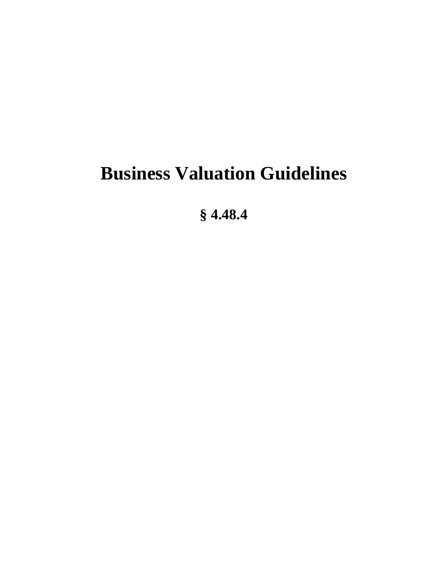# <span id="page-4-0"></span>**Business Valuation Guidelines**

**§ 4.48.4**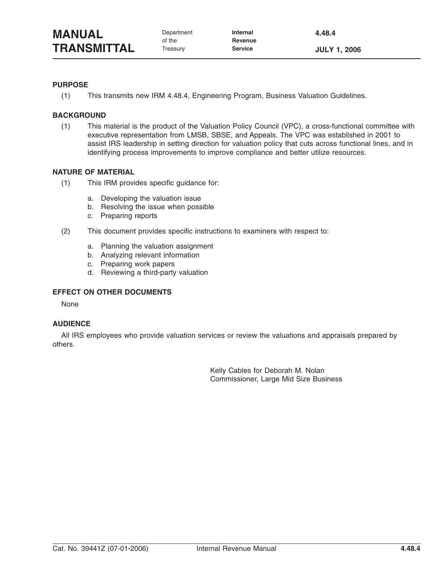Department of the **Treasury** 

**Internal Revenue Service**

**4.48.4 JULY 1, 2006**

### <span id="page-5-0"></span>**PURPOSE**

(1) This transmits new IRM 4.48.4, Engineering Program, Business Valuation Guidelines.

### **BACKGROUND**

(1) This material is the product of the Valuation Policy Council (VPC), a cross-functional committee with executive representation from LMSB, SBSE, and Appeals. The VPC was established in 2001 to assist IRS leadership in setting direction for valuation policy that cuts across functional lines, and in identifying process improvements to improve compliance and better utilize resources.

#### **NATURE OF MATERIAL**

- (1) This IRM provides specific guidance for:
	- a. Developing the valuation issue
	- b. Resolving the issue when possible
	- c. Preparing reports
- (2) This document provides specific instructions to examiners with respect to:
	- a. Planning the valuation assignment
	- b. Analyzing relevant information
	- c. Preparing work papers
	- d. Reviewing a third-party valuation

### **EFFECT ON OTHER DOCUMENTS**

None

### **AUDIENCE**

All IRS employees who provide valuation services or review the valuations and appraisals prepared by others.

> Kelly Cables for Deborah M. Nolan Commissioner, Large Mid Size Business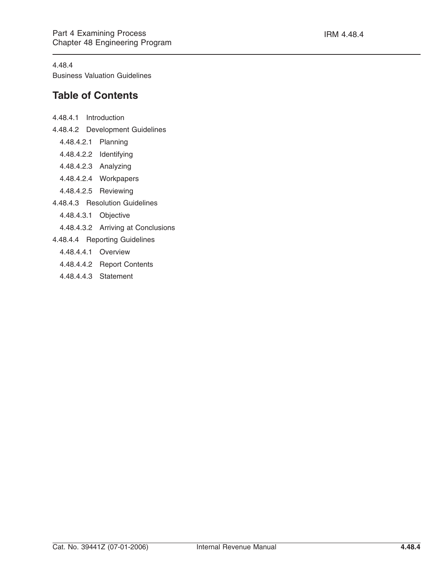### 4.48.4

Business Valuation Guidelines

### **Table of Contents**

- [4.48.4.1 Introduction](#page-7-0)
- [4.48.4.2 Development Guidelines](#page-7-0)
	- [4.48.4.2.1 Planning](#page-7-0)
	- [4.48.4.2.2 Identifying](#page-7-0)
	- [4.48.4.2.3 Analyzing](#page-7-0)
	- [4.48.4.2.4 Workpapers](#page-8-0)
	- [4.48.4.2.5 Reviewing](#page-9-0)
- [4.48.4.3 Resolution Guidelines](#page-9-0)
	- [4.48.4.3.1 Objective](#page-9-0)
	- [4.48.4.3.2 Arriving at Conclusions](#page-9-0)
- [4.48.4.4 Reporting Guidelines](#page-10-0)
	- [4.48.4.4.1 Overview](#page-10-0)
	- [4.48.4.4.2 Report Contents](#page-10-0)
	- [4.48.4.4.3 Statement](#page-10-0)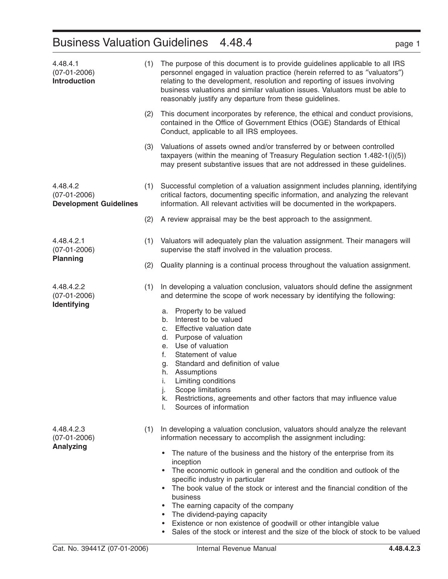# <span id="page-7-0"></span>Business Valuation Guidelines 4.48.4 **page 1** page 1

| 4.48.4.1<br>$(07-01-2006)$<br><b>Introduction</b>           | (1) | The purpose of this document is to provide guidelines applicable to all IRS<br>personnel engaged in valuation practice (herein referred to as "valuators")<br>relating to the development, resolution and reporting of issues involving<br>business valuations and similar valuation issues. Valuators must be able to<br>reasonably justify any departure from these guidelines.                                                                                                                                                                                                                                                                                                                                        |
|-------------------------------------------------------------|-----|--------------------------------------------------------------------------------------------------------------------------------------------------------------------------------------------------------------------------------------------------------------------------------------------------------------------------------------------------------------------------------------------------------------------------------------------------------------------------------------------------------------------------------------------------------------------------------------------------------------------------------------------------------------------------------------------------------------------------|
|                                                             | (2) | This document incorporates by reference, the ethical and conduct provisions,<br>contained in the Office of Government Ethics (OGE) Standards of Ethical<br>Conduct, applicable to all IRS employees.                                                                                                                                                                                                                                                                                                                                                                                                                                                                                                                     |
|                                                             | (3) | Valuations of assets owned and/or transferred by or between controlled<br>taxpayers (within the meaning of Treasury Regulation section 1.482-1(i)(5))<br>may present substantive issues that are not addressed in these guidelines.                                                                                                                                                                                                                                                                                                                                                                                                                                                                                      |
| 4.48.4.2<br>$(07-01-2006)$<br><b>Development Guidelines</b> | (1) | Successful completion of a valuation assignment includes planning, identifying<br>critical factors, documenting specific information, and analyzing the relevant<br>information. All relevant activities will be documented in the workpapers.                                                                                                                                                                                                                                                                                                                                                                                                                                                                           |
|                                                             | (2) | A review appraisal may be the best approach to the assignment.                                                                                                                                                                                                                                                                                                                                                                                                                                                                                                                                                                                                                                                           |
| 4.48.4.2.1<br>$(07-01-2006)$                                | (1) | Valuators will adequately plan the valuation assignment. Their managers will<br>supervise the staff involved in the valuation process.                                                                                                                                                                                                                                                                                                                                                                                                                                                                                                                                                                                   |
| <b>Planning</b>                                             | (2) | Quality planning is a continual process throughout the valuation assignment.                                                                                                                                                                                                                                                                                                                                                                                                                                                                                                                                                                                                                                             |
| 4.48.4.2.2<br>$(07-01-2006)$<br>Identifying                 | (1) | In developing a valuation conclusion, valuators should define the assignment<br>and determine the scope of work necessary by identifying the following:<br>Property to be valued<br>a.<br>b. Interest to be valued<br>c. Effective valuation date<br>d. Purpose of valuation<br>e. Use of valuation<br>Statement of value<br>f.<br>g. Standard and definition of value<br>h. Assumptions<br>i.<br>Limiting conditions<br>Scope limitations<br>J.<br>Restrictions, agreements and other factors that may influence value<br>K.<br>Sources of information<br>I.                                                                                                                                                            |
| 4.48.4.2.3<br>$(07-01-2006)$<br><b>Analyzing</b>            | (1) | In developing a valuation conclusion, valuators should analyze the relevant<br>information necessary to accomplish the assignment including:<br>The nature of the business and the history of the enterprise from its<br>$\bullet$<br>inception<br>The economic outlook in general and the condition and outlook of the<br>$\bullet$<br>specific industry in particular<br>The book value of the stock or interest and the financial condition of the<br>$\bullet$<br>business<br>The earning capacity of the company<br>$\bullet$<br>The dividend-paying capacity<br>Existence or non existence of goodwill or other intangible value<br>Sales of the stock or interest and the size of the block of stock to be valued |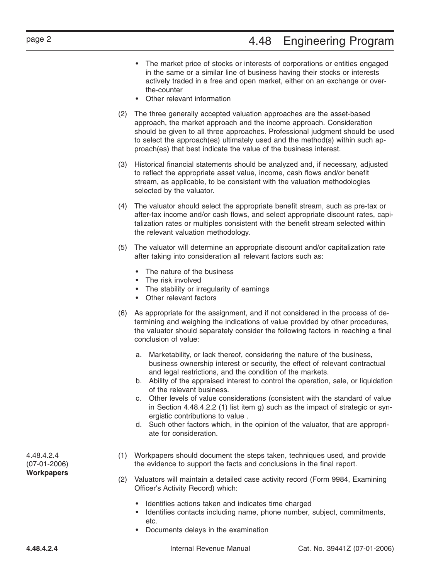- <span id="page-8-0"></span>• The market price of stocks or interests of corporations or entities engaged in the same or a similar line of business having their stocks or interests actively traded in a free and open market, either on an exchange or overthe-counter
- Other relevant information
- (2) The three generally accepted valuation approaches are the asset-based approach, the market approach and the income approach. Consideration should be given to all three approaches. Professional judgment should be used to select the approach(es) ultimately used and the method(s) within such approach(es) that best indicate the value of the business interest.
- (3) Historical financial statements should be analyzed and, if necessary, adjusted to reflect the appropriate asset value, income, cash flows and/or benefit stream, as applicable, to be consistent with the valuation methodologies selected by the valuator.
- (4) The valuator should select the appropriate benefit stream, such as pre-tax or after-tax income and/or cash flows, and select appropriate discount rates, capitalization rates or multiples consistent with the benefit stream selected within the relevant valuation methodology.
- (5) The valuator will determine an appropriate discount and/or capitalization rate after taking into consideration all relevant factors such as:
	- The nature of the business
	- The risk involved
	- The stability or irregularity of earnings
	- Other relevant factors
- (6) As appropriate for the assignment, and if not considered in the process of determining and weighing the indications of value provided by other procedures, the valuator should separately consider the following factors in reaching a final conclusion of value:
	- a. Marketability, or lack thereof, considering the nature of the business, business ownership interest or security, the effect of relevant contractual and legal restrictions, and the condition of the markets.
	- b. Ability of the appraised interest to control the operation, sale, or liquidation of the relevant business.
	- c. Other levels of value considerations (consistent with the standard of value in Section 4.48.4.2.2 (1) list item g) such as the impact of strategic or synergistic contributions to value .
	- d. Such other factors which, in the opinion of the valuator, that are appropriate for consideration.
- (1) Workpapers should document the steps taken, techniques used, and provide the evidence to support the facts and conclusions in the final report.
- (2) Valuators will maintain a detailed case activity record (Form 9984, Examining Officer's Activity Record) which:
	- Identifies actions taken and indicates time charged
	- Identifies contacts including name, phone number, subject, commitments, etc.
	- Documents delays in the examination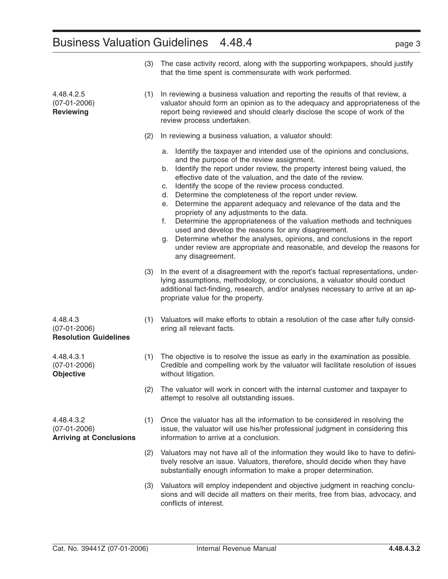<span id="page-9-0"></span>

|                                                                |     | that the time spent is commensurate with work performed.                                                                                                                                                                                                                                                                                                                                                                                                                                                                                                                                                                                                                                                                                                                                                                                   |
|----------------------------------------------------------------|-----|--------------------------------------------------------------------------------------------------------------------------------------------------------------------------------------------------------------------------------------------------------------------------------------------------------------------------------------------------------------------------------------------------------------------------------------------------------------------------------------------------------------------------------------------------------------------------------------------------------------------------------------------------------------------------------------------------------------------------------------------------------------------------------------------------------------------------------------------|
| 4.48.4.2.5<br>$(07-01-2006)$<br><b>Reviewing</b>               | (1) | In reviewing a business valuation and reporting the results of that review, a<br>valuator should form an opinion as to the adequacy and appropriateness of the<br>report being reviewed and should clearly disclose the scope of work of the<br>review process undertaken.                                                                                                                                                                                                                                                                                                                                                                                                                                                                                                                                                                 |
|                                                                | (2) | In reviewing a business valuation, a valuator should:                                                                                                                                                                                                                                                                                                                                                                                                                                                                                                                                                                                                                                                                                                                                                                                      |
|                                                                |     | a. Identify the taxpayer and intended use of the opinions and conclusions,<br>and the purpose of the review assignment.<br>b. Identify the report under review, the property interest being valued, the<br>effective date of the valuation, and the date of the review.<br>c. Identify the scope of the review process conducted.<br>d. Determine the completeness of the report under review.<br>e. Determine the apparent adequacy and relevance of the data and the<br>propriety of any adjustments to the data.<br>Determine the appropriateness of the valuation methods and techniques<br>f.<br>used and develop the reasons for any disagreement.<br>Determine whether the analyses, opinions, and conclusions in the report<br>g.<br>under review are appropriate and reasonable, and develop the reasons for<br>any disagreement. |
|                                                                | (3) | In the event of a disagreement with the report's factual representations, under-<br>lying assumptions, methodology, or conclusions, a valuator should conduct<br>additional fact-finding, research, and/or analyses necessary to arrive at an ap-<br>propriate value for the property.                                                                                                                                                                                                                                                                                                                                                                                                                                                                                                                                                     |
| 4.48.4.3<br>$(07-01-2006)$<br><b>Resolution Guidelines</b>     |     | (1) Valuators will make efforts to obtain a resolution of the case after fully consid-<br>ering all relevant facts.                                                                                                                                                                                                                                                                                                                                                                                                                                                                                                                                                                                                                                                                                                                        |
| 4.48.4.3.1<br>$(07-01-2006)$<br><b>Objective</b>               | (1) | The objective is to resolve the issue as early in the examination as possible.<br>Credible and compelling work by the valuator will facilitate resolution of issues<br>without litigation.                                                                                                                                                                                                                                                                                                                                                                                                                                                                                                                                                                                                                                                 |
|                                                                | (2) | The valuator will work in concert with the internal customer and taxpayer to<br>attempt to resolve all outstanding issues.                                                                                                                                                                                                                                                                                                                                                                                                                                                                                                                                                                                                                                                                                                                 |
| 4.48.4.3.2<br>$(07-01-2006)$<br><b>Arriving at Conclusions</b> | (1) | Once the valuator has all the information to be considered in resolving the<br>issue, the valuator will use his/her professional judgment in considering this<br>information to arrive at a conclusion.                                                                                                                                                                                                                                                                                                                                                                                                                                                                                                                                                                                                                                    |
|                                                                | (2) | Valuators may not have all of the information they would like to have to defini-<br>tively resolve an issue. Valuators, therefore, should decide when they have<br>substantially enough information to make a proper determination.                                                                                                                                                                                                                                                                                                                                                                                                                                                                                                                                                                                                        |
|                                                                |     | (3) Valuators will employ independent and objective judgment in reaching conclu-<br>sions and will decide all matters on their merits, free from bias, advocacy, and                                                                                                                                                                                                                                                                                                                                                                                                                                                                                                                                                                                                                                                                       |

(3) The case activity record, along with the supporting workpapers, should justify

conflicts of interest.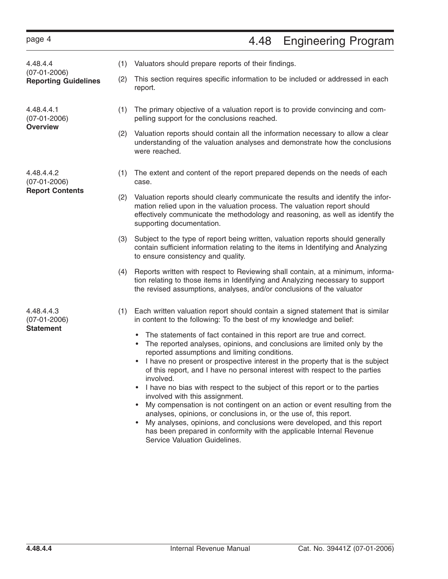<span id="page-10-0"></span>

| page 4                                           |     | 4.48<br><b>Engineering Program</b>                                                                                                                                                                                                                                                                                                                                                                                                                  |
|--------------------------------------------------|-----|-----------------------------------------------------------------------------------------------------------------------------------------------------------------------------------------------------------------------------------------------------------------------------------------------------------------------------------------------------------------------------------------------------------------------------------------------------|
| 4.48.4.4                                         | (1) | Valuators should prepare reports of their findings.                                                                                                                                                                                                                                                                                                                                                                                                 |
| $(07-01-2006)$<br><b>Reporting Guidelines</b>    | (2) | This section requires specific information to be included or addressed in each<br>report.                                                                                                                                                                                                                                                                                                                                                           |
| 4.48.4.4.1<br>$(07-01-2006)$<br><b>Overview</b>  | (1) | The primary objective of a valuation report is to provide convincing and com-<br>pelling support for the conclusions reached.                                                                                                                                                                                                                                                                                                                       |
|                                                  | (2) | Valuation reports should contain all the information necessary to allow a clear<br>understanding of the valuation analyses and demonstrate how the conclusions<br>were reached.                                                                                                                                                                                                                                                                     |
| 4.48.4.4.2<br>$(07-01-2006)$                     | (1) | The extent and content of the report prepared depends on the needs of each<br>case.                                                                                                                                                                                                                                                                                                                                                                 |
| <b>Report Contents</b>                           | (2) | Valuation reports should clearly communicate the results and identify the infor-<br>mation relied upon in the valuation process. The valuation report should<br>effectively communicate the methodology and reasoning, as well as identify the<br>supporting documentation.                                                                                                                                                                         |
|                                                  |     | (3) Subject to the type of report being written, valuation reports should generally<br>contain sufficient information relating to the items in Identifying and Analyzing<br>to ensure consistency and quality.                                                                                                                                                                                                                                      |
|                                                  | (4) | Reports written with respect to Reviewing shall contain, at a minimum, informa-<br>tion relating to those items in Identifying and Analyzing necessary to support<br>the revised assumptions, analyses, and/or conclusions of the valuator                                                                                                                                                                                                          |
| 4.48.4.4.3<br>$(07-01-2006)$<br><b>Statement</b> | (1) | Each written valuation report should contain a signed statement that is similar<br>in content to the following: To the best of my knowledge and belief:<br>The statements of fact contained in this report are true and correct.<br>The reported analyses, opinions, and conclusions are limited only by the<br>٠<br>reported assumptions and limiting conditions.<br>I have no present or prospective interest in the property that is the subject |
|                                                  |     | of this report, and I have no personal interest with respect to the parties<br>involved.<br>I have no bias with respect to the subject of this report or to the parties<br>involved with this assignment.<br>My compensation is not contingent on an action or event resulting from the<br>analyses, opinions, or conclusions in, or the use of, this report.                                                                                       |

• My analyses, opinions, and conclusions were developed, and this report has been prepared in conformity with the applicable Internal Revenue Service Valuation Guidelines.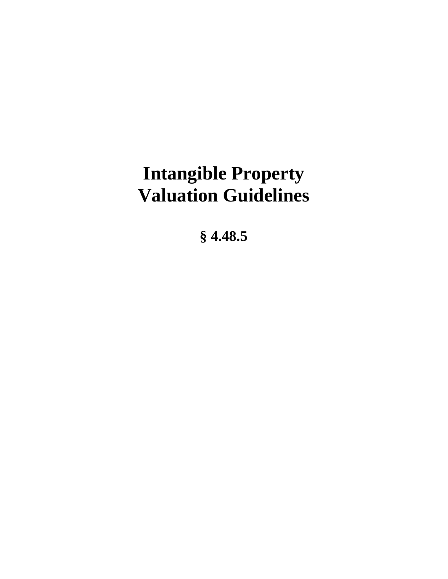# <span id="page-11-0"></span>**Intangible Property Valuation Guidelines**

**§ 4.48.5**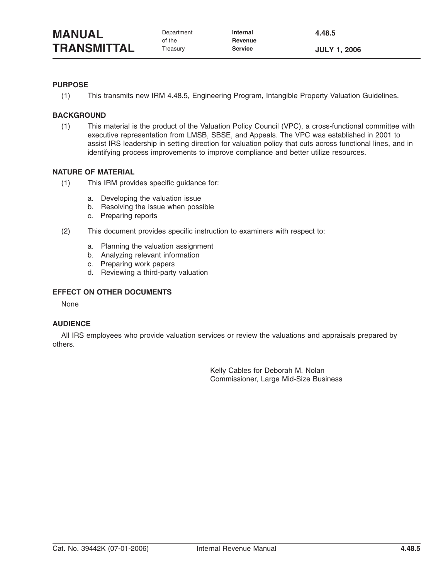Department of the **Treasury** 

**Internal Revenue Service**

**4.48.5 JULY 1, 2006**

### <span id="page-12-0"></span>**PURPOSE**

(1) This transmits new IRM 4.48.5, Engineering Program, Intangible Property Valuation Guidelines.

### **BACKGROUND**

(1) This material is the product of the Valuation Policy Council (VPC), a cross-functional committee with executive representation from LMSB, SBSE, and Appeals. The VPC was established in 2001 to assist IRS leadership in setting direction for valuation policy that cuts across functional lines, and in identifying process improvements to improve compliance and better utilize resources.

#### **NATURE OF MATERIAL**

- (1) This IRM provides specific guidance for:
	- a. Developing the valuation issue
	- b. Resolving the issue when possible
	- c. Preparing reports
- (2) This document provides specific instruction to examiners with respect to:
	- a. Planning the valuation assignment
	- b. Analyzing relevant information
	- c. Preparing work papers
	- d. Reviewing a third-party valuation

### **EFFECT ON OTHER DOCUMENTS**

None

#### **AUDIENCE**

All IRS employees who provide valuation services or review the valuations and appraisals prepared by others.

> Kelly Cables for Deborah M. Nolan Commissioner, Large Mid-Size Business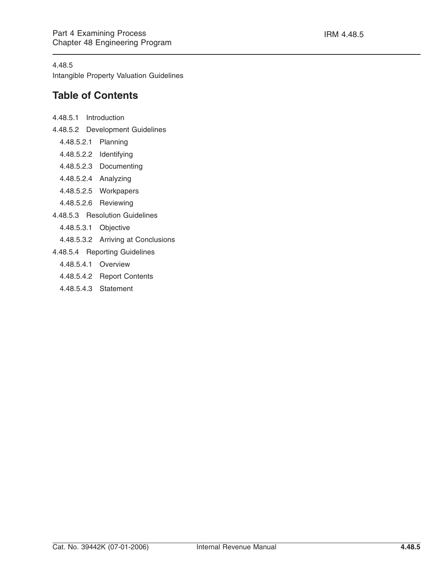### 4.48.5

Intangible Property Valuation Guidelines

### **Table of Contents**

- [4.48.5.1 Introduction](#page-14-0)
- [4.48.5.2 Development Guidelines](#page-14-0)
	- [4.48.5.2.1 Planning](#page-14-0)
	- [4.48.5.2.2 Identifying](#page-14-0)
	- [4.48.5.2.3 Documenting](#page-15-0)
	- [4.48.5.2.4 Analyzing](#page-16-0)
	- [4.48.5.2.5 Workpapers](#page-18-0)
	- [4.48.5.2.6 Reviewing](#page-18-0)
- [4.48.5.3 Resolution Guidelines](#page-19-0)
	- [4.48.5.3.1 Objective](#page-19-0)
	- [4.48.5.3.2 Arriving at Conclusions](#page-19-0)
- [4.48.5.4 Reporting Guidelines](#page-19-0)
	- [4.48.5.4.1 Overview](#page-19-0)
	- [4.48.5.4.2 Report Contents](#page-20-0)
	- [4.48.5.4.3 Statement](#page-20-0)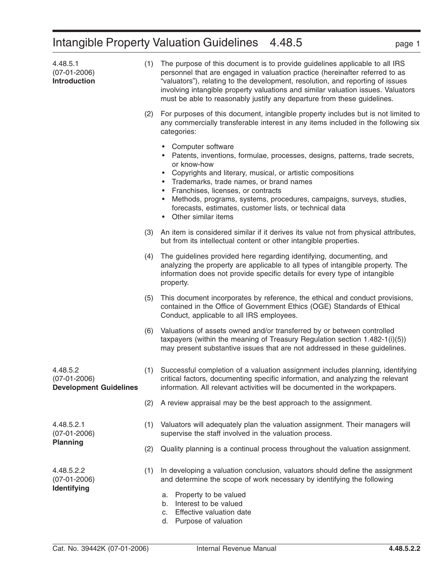# <span id="page-14-0"></span>Intangible Property Valuation Guidelines 4.48.5 hage 1

| 4.48.5.1<br>$(07-01-2006)$<br><b>Introduction</b>           | (1) | The purpose of this document is to provide guidelines applicable to all IRS<br>personnel that are engaged in valuation practice (hereinafter referred to as<br>"valuators"), relating to the development, resolution, and reporting of issues<br>involving intangible property valuations and similar valuation issues. Valuators<br>must be able to reasonably justify any departure from these guidelines.                                       |
|-------------------------------------------------------------|-----|----------------------------------------------------------------------------------------------------------------------------------------------------------------------------------------------------------------------------------------------------------------------------------------------------------------------------------------------------------------------------------------------------------------------------------------------------|
|                                                             |     | (2) For purposes of this document, intangible property includes but is not limited to<br>any commercially transferable interest in any items included in the following six<br>categories:                                                                                                                                                                                                                                                          |
|                                                             |     | Computer software<br>$\bullet$<br>• Patents, inventions, formulae, processes, designs, patterns, trade secrets,<br>or know-how<br>Copyrights and literary, musical, or artistic compositions<br>٠<br>• Trademarks, trade names, or brand names<br>• Franchises, licenses, or contracts<br>Methods, programs, systems, procedures, campaigns, surveys, studies,<br>forecasts, estimates, customer lists, or technical data<br>• Other similar items |
|                                                             | (3) | An item is considered similar if it derives its value not from physical attributes,<br>but from its intellectual content or other intangible properties.                                                                                                                                                                                                                                                                                           |
|                                                             | (4) | The guidelines provided here regarding identifying, documenting, and<br>analyzing the property are applicable to all types of intangible property. The<br>information does not provide specific details for every type of intangible<br>property.                                                                                                                                                                                                  |
|                                                             | (5) | This document incorporates by reference, the ethical and conduct provisions,<br>contained in the Office of Government Ethics (OGE) Standards of Ethical<br>Conduct, applicable to all IRS employees.                                                                                                                                                                                                                                               |
|                                                             |     | (6) Valuations of assets owned and/or transferred by or between controlled<br>taxpayers (within the meaning of Treasury Regulation section 1.482-1(i)(5))<br>may present substantive issues that are not addressed in these guidelines.                                                                                                                                                                                                            |
| 4.48.5.2<br>$(07-01-2006)$<br><b>Development Guidelines</b> | (1) | Successful completion of a valuation assignment includes planning, identifying<br>critical factors, documenting specific information, and analyzing the relevant<br>information. All relevant activities will be documented in the workpapers.                                                                                                                                                                                                     |
|                                                             | (2) | A review appraisal may be the best approach to the assignment.                                                                                                                                                                                                                                                                                                                                                                                     |
| 4.48.5.2.1<br>$(07-01-2006)$                                | (1) | Valuators will adequately plan the valuation assignment. Their managers will<br>supervise the staff involved in the valuation process.                                                                                                                                                                                                                                                                                                             |
| <b>Planning</b>                                             | (2) | Quality planning is a continual process throughout the valuation assignment.                                                                                                                                                                                                                                                                                                                                                                       |
| 4.48.5.2.2<br>$(07-01-2006)$<br>Identifying                 | (1) | In developing a valuation conclusion, valuators should define the assignment<br>and determine the scope of work necessary by identifying the following                                                                                                                                                                                                                                                                                             |
|                                                             |     | Property to be valued<br>a.<br>Interest to be valued<br>b.<br>Effective valuation date<br>c.<br>d. Purpose of valuation                                                                                                                                                                                                                                                                                                                            |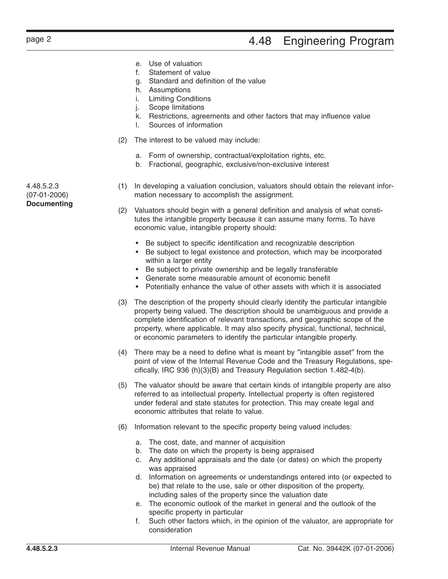### <span id="page-15-0"></span>page 2 and the contract of the contract of the 4.48 Engineering Program

- e. Use of valuation
- f. Statement of value
- g. Standard and definition of the value
- h. Assumptions
- i. Limiting Conditions
- j. Scope limitations
- k. Restrictions, agreements and other factors that may influence value
- l. Sources of information
- (2) The interest to be valued may include:
	- a. Form of ownership, contractual/exploitation rights, etc.
	- b. Fractional, geographic, exclusive/non-exclusive interest
- (1) In developing a valuation conclusion, valuators should obtain the relevant information necessary to accomplish the assignment.
- (2) Valuators should begin with a general definition and analysis of what constitutes the intangible property because it can assume many forms. To have economic value, intangible property should:
	- Be subject to specific identification and recognizable description
	- Be subject to legal existence and protection, which may be incorporated within a larger entity
	- Be subject to private ownership and be legally transferable
	- Generate some measurable amount of economic benefit
	- Potentially enhance the value of other assets with which it is associated
- (3) The description of the property should clearly identify the particular intangible property being valued. The description should be unambiguous and provide a complete identification of relevant transactions, and geographic scope of the property, where applicable. It may also specify physical, functional, technical, or economic parameters to identify the particular intangible property.
- (4) There may be a need to define what is meant by ″intangible asset″ from the point of view of the Internal Revenue Code and the Treasury Regulations, specifically, IRC 936 (h)(3)(B) and Treasury Regulation section 1.482-4(b).
- (5) The valuator should be aware that certain kinds of intangible property are also referred to as intellectual property. Intellectual property is often registered under federal and state statutes for protection. This may create legal and economic attributes that relate to value.
- (6) Information relevant to the specific property being valued includes:
	- a. The cost, date, and manner of acquisition
	- b. The date on which the property is being appraised
	- c. Any additional appraisals and the date (or dates) on which the property was appraised
	- d. Information on agreements or understandings entered into (or expected to be) that relate to the use, sale or other disposition of the property, including sales of the property since the valuation date
	- e. The economic outlook of the market in general and the outlook of the specific property in particular
	- f. Such other factors which, in the opinion of the valuator, are appropriate for consideration

4.48.5.2.3 (07-01-2006) **Documenting**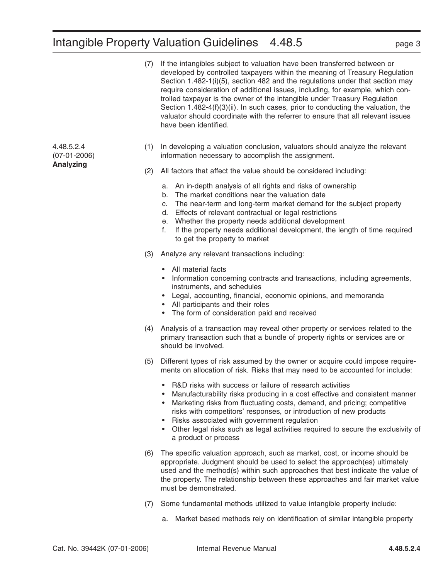<span id="page-16-0"></span>

|                              | (7) | If the intangibles subject to valuation have been transferred between or<br>developed by controlled taxpayers within the meaning of Treasury Regulation<br>Section 1.482-1(i)(5), section 482 and the regulations under that section may<br>require consideration of additional issues, including, for example, which con-<br>trolled taxpayer is the owner of the intangible under Treasury Regulation<br>Section 1.482-4(f)(3)(ii). In such cases, prior to conducting the valuation, the<br>valuator should coordinate with the referrer to ensure that all relevant issues<br>have been identified. |
|------------------------------|-----|---------------------------------------------------------------------------------------------------------------------------------------------------------------------------------------------------------------------------------------------------------------------------------------------------------------------------------------------------------------------------------------------------------------------------------------------------------------------------------------------------------------------------------------------------------------------------------------------------------|
| 4.48.5.2.4<br>$(07-01-2006)$ | (1) | In developing a valuation conclusion, valuators should analyze the relevant<br>information necessary to accomplish the assignment.                                                                                                                                                                                                                                                                                                                                                                                                                                                                      |
| <b>Analyzing</b>             | (2) | All factors that affect the value should be considered including:                                                                                                                                                                                                                                                                                                                                                                                                                                                                                                                                       |
|                              |     | An in-depth analysis of all rights and risks of ownership<br>a.<br>The market conditions near the valuation date<br>b.<br>c. The near-term and long-term market demand for the subject property<br>d. Effects of relevant contractual or legal restrictions<br>e. Whether the property needs additional development<br>If the property needs additional development, the length of time required<br>f.<br>to get the property to market                                                                                                                                                                 |
|                              | (3) | Analyze any relevant transactions including:                                                                                                                                                                                                                                                                                                                                                                                                                                                                                                                                                            |
|                              |     | All material facts<br>Information concerning contracts and transactions, including agreements,<br>$\bullet$<br>instruments, and schedules<br>Legal, accounting, financial, economic opinions, and memoranda<br>All participants and their roles<br>٠<br>• The form of consideration paid and received                                                                                                                                                                                                                                                                                                   |
|                              | (4) | Analysis of a transaction may reveal other property or services related to the<br>primary transaction such that a bundle of property rights or services are or<br>should be involved.                                                                                                                                                                                                                                                                                                                                                                                                                   |
|                              | (5) | Different types of risk assumed by the owner or acquire could impose require-<br>ments on allocation of risk. Risks that may need to be accounted for include:                                                                                                                                                                                                                                                                                                                                                                                                                                          |
|                              |     | R&D risks with success or failure of research activities<br>Manufacturability ricks producing in a cost offective and consistent manner                                                                                                                                                                                                                                                                                                                                                                                                                                                                 |

- Manufacturability risks producing in a cost effective and consistent manner • Marketing risks from fluctuating costs, demand, and pricing; competitive risks with competitors' responses, or introduction of new products
- Risks associated with government regulation
- Other legal risks such as legal activities required to secure the exclusivity of a product or process
- (6) The specific valuation approach, such as market, cost, or income should be appropriate. Judgment should be used to select the approach(es) ultimately used and the method(s) within such approaches that best indicate the value of the property. The relationship between these approaches and fair market value must be demonstrated.
- (7) Some fundamental methods utilized to value intangible property include:
	- a. Market based methods rely on identification of similar intangible property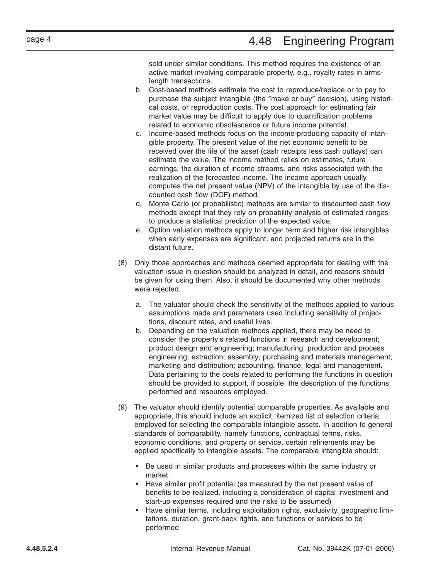sold under similar conditions. This method requires the existence of an active market involving comparable property, e.g., royalty rates in armslength transactions.

- b. Cost-based methods estimate the cost to reproduce/replace or to pay to purchase the subject intangible (the ″make or buy″ decision), using historical costs, or reproduction costs. The cost approach for estimating fair market value may be difficult to apply due to quantification problems related to economic obsolescence or future income potential.
- c. Income-based methods focus on the income-producing capacity of intangible property. The present value of the net economic benefit to be received over the life of the asset (cash receipts less cash outlays) can estimate the value. The income method relies on estimates, future earnings, the duration of income streams, and risks associated with the realization of the forecasted income. The income approach usually computes the net present value (NPV) of the intangible by use of the discounted cash flow (DCF) method.
- d. Monte Carlo (or probabilistic) methods are similar to discounted cash flow methods except that they rely on probability analysis of estimated ranges to produce a statistical prediction of the expected value.
- e. Option valuation methods apply to longer term and higher risk intangibles when early expenses are significant, and projected returns are in the distant future.
- (8) Only those approaches and methods deemed appropriate for dealing with the valuation issue in question should be analyzed in detail, and reasons should be given for using them. Also, it should be documented why other methods were rejected.
	- a. The valuator should check the sensitivity of the methods applied to various assumptions made and parameters used including sensitivity of projections, discount rates, and useful lives.
	- b. Depending on the valuation methods applied, there may be need to consider the property's related functions in research and development; product design and engineering; manufacturing, production and process engineering; extraction; assembly; purchasing and materials management; marketing and distribution; accounting, finance, legal and management. Data pertaining to the costs related to performing the functions in question should be provided to support, if possible, the description of the functions performed and resources employed.
- (9) The valuator should identify potential comparable properties. As available and appropriate, this should include an explicit, itemized list of selection criteria employed for selecting the comparable intangible assets. In addition to general standards of comparability, namely functions, contractual terms, risks, economic conditions, and property or service, certain refinements may be applied specifically to intangible assets. The comparable intangible should:
	- Be used in similar products and processes within the same industry or market
	- Have similar profit potential (as measured by the net present value of benefits to be realized, including a consideration of capital investment and start-up expenses required and the risks to be assumed)
	- Have similar terms, including exploitation rights, exclusivity, geographic limitations, duration, grant-back rights, and functions or services to be performed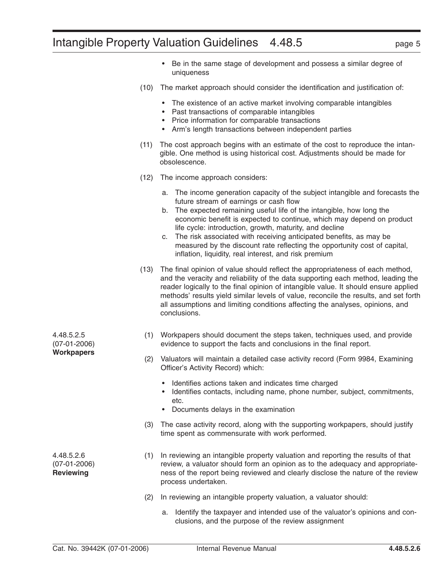- Be in the same stage of development and possess a similar degree of uniqueness
- <span id="page-18-0"></span>(10) The market approach should consider the identification and justification of:
	- The existence of an active market involving comparable intangibles
	- Past transactions of comparable intangibles
	- Price information for comparable transactions
	- Arm's length transactions between independent parties
- (11) The cost approach begins with an estimate of the cost to reproduce the intangible. One method is using historical cost. Adjustments should be made for obsolescence.
- (12) The income approach considers:
	- a. The income generation capacity of the subject intangible and forecasts the future stream of earnings or cash flow
	- b. The expected remaining useful life of the intangible, how long the economic benefit is expected to continue, which may depend on product life cycle: introduction, growth, maturity, and decline
	- c. The risk associated with receiving anticipated benefits, as may be measured by the discount rate reflecting the opportunity cost of capital, inflation, liquidity, real interest, and risk premium
- (13) The final opinion of value should reflect the appropriateness of each method, and the veracity and reliability of the data supporting each method, leading the reader logically to the final opinion of intangible value. It should ensure applied methods' results yield similar levels of value, reconcile the results, and set forth all assumptions and limiting conditions affecting the analyses, opinions, and conclusions.
- (1) Workpapers should document the steps taken, techniques used, and provide evidence to support the facts and conclusions in the final report.
- (2) Valuators will maintain a detailed case activity record (Form 9984, Examining Officer's Activity Record) which:
	- Identifies actions taken and indicates time charged
	- Identifies contacts, including name, phone number, subject, commitments, etc.
	- Documents delays in the examination
- (3) The case activity record, along with the supporting workpapers, should justify time spent as commensurate with work performed.
- (1) In reviewing an intangible property valuation and reporting the results of that review, a valuator should form an opinion as to the adequacy and appropriateness of the report being reviewed and clearly disclose the nature of the review process undertaken.
- (2) In reviewing an intangible property valuation, a valuator should:
	- a. Identify the taxpayer and intended use of the valuator's opinions and conclusions, and the purpose of the review assignment

4.48.5.2.5 (07-01-2006) **Workpapers**

4.48.5.2.6 (07-01-2006) **Reviewing**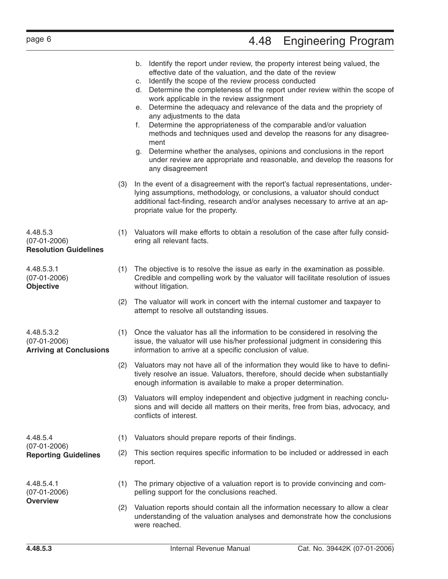# <span id="page-19-0"></span>page 6 4.48 Engineering Program

|                                                                | (3) | b. Identify the report under review, the property interest being valued, the<br>effective date of the valuation, and the date of the review<br>Identify the scope of the review process conducted<br>C.<br>d. Determine the completeness of the report under review within the scope of<br>work applicable in the review assignment<br>e. Determine the adequacy and relevance of the data and the propriety of<br>any adjustments to the data<br>Determine the appropriateness of the comparable and/or valuation<br>f.<br>methods and techniques used and develop the reasons for any disagree-<br>ment<br>g. Determine whether the analyses, opinions and conclusions in the report<br>under review are appropriate and reasonable, and develop the reasons for<br>any disagreement<br>In the event of a disagreement with the report's factual representations, under-<br>lying assumptions, methodology, or conclusions, a valuator should conduct<br>additional fact-finding, research and/or analyses necessary to arrive at an ap-<br>propriate value for the property. |
|----------------------------------------------------------------|-----|---------------------------------------------------------------------------------------------------------------------------------------------------------------------------------------------------------------------------------------------------------------------------------------------------------------------------------------------------------------------------------------------------------------------------------------------------------------------------------------------------------------------------------------------------------------------------------------------------------------------------------------------------------------------------------------------------------------------------------------------------------------------------------------------------------------------------------------------------------------------------------------------------------------------------------------------------------------------------------------------------------------------------------------------------------------------------------|
| 4.48.5.3<br>$(07-01-2006)$<br><b>Resolution Guidelines</b>     |     | (1) Valuators will make efforts to obtain a resolution of the case after fully consid-<br>ering all relevant facts.                                                                                                                                                                                                                                                                                                                                                                                                                                                                                                                                                                                                                                                                                                                                                                                                                                                                                                                                                             |
| 4.48.5.3.1<br>$(07-01-2006)$<br><b>Objective</b>               |     | (1) The objective is to resolve the issue as early in the examination as possible.<br>Credible and compelling work by the valuator will facilitate resolution of issues<br>without litigation.                                                                                                                                                                                                                                                                                                                                                                                                                                                                                                                                                                                                                                                                                                                                                                                                                                                                                  |
|                                                                |     | (2) The valuator will work in concert with the internal customer and taxpayer to<br>attempt to resolve all outstanding issues.                                                                                                                                                                                                                                                                                                                                                                                                                                                                                                                                                                                                                                                                                                                                                                                                                                                                                                                                                  |
| 4.48.5.3.2<br>$(07-01-2006)$<br><b>Arriving at Conclusions</b> |     | (1) Once the valuator has all the information to be considered in resolving the<br>issue, the valuator will use his/her professional judgment in considering this<br>information to arrive at a specific conclusion of value.                                                                                                                                                                                                                                                                                                                                                                                                                                                                                                                                                                                                                                                                                                                                                                                                                                                   |
|                                                                | (2) | Valuators may not have all of the information they would like to have to defini-<br>tively resolve an issue. Valuators, therefore, should decide when substantially<br>enough information is available to make a proper determination.                                                                                                                                                                                                                                                                                                                                                                                                                                                                                                                                                                                                                                                                                                                                                                                                                                          |
|                                                                |     | (3) Valuators will employ independent and objective judgment in reaching conclu-<br>sions and will decide all matters on their merits, free from bias, advocacy, and<br>conflicts of interest.                                                                                                                                                                                                                                                                                                                                                                                                                                                                                                                                                                                                                                                                                                                                                                                                                                                                                  |
| 4.48.5.4                                                       | (1) | Valuators should prepare reports of their findings.                                                                                                                                                                                                                                                                                                                                                                                                                                                                                                                                                                                                                                                                                                                                                                                                                                                                                                                                                                                                                             |
| $(07-01-2006)$<br><b>Reporting Guidelines</b>                  | (2) | This section requires specific information to be included or addressed in each<br>report.                                                                                                                                                                                                                                                                                                                                                                                                                                                                                                                                                                                                                                                                                                                                                                                                                                                                                                                                                                                       |
| 4.48.5.4.1<br>(07-01-2006)                                     | (1) | The primary objective of a valuation report is to provide convincing and com-<br>pelling support for the conclusions reached.                                                                                                                                                                                                                                                                                                                                                                                                                                                                                                                                                                                                                                                                                                                                                                                                                                                                                                                                                   |
| <b>Overview</b>                                                | (2) | Valuation reports should contain all the information necessary to allow a clear<br>understanding of the valuation analyses and demonstrate how the conclusions<br>were reached.                                                                                                                                                                                                                                                                                                                                                                                                                                                                                                                                                                                                                                                                                                                                                                                                                                                                                                 |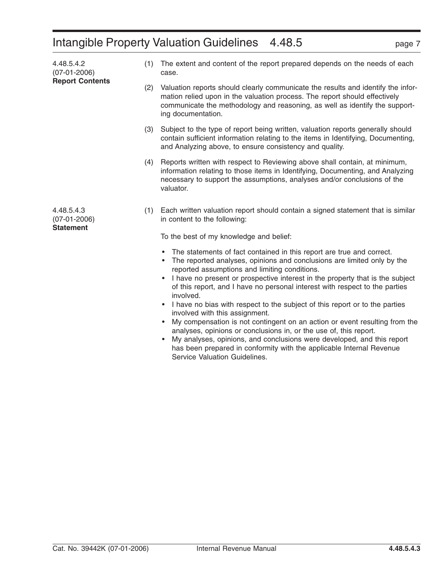# <span id="page-20-0"></span>Intangible Property Valuation Guidelines 4.48.5 page 7

| 4.48.5.4.2<br>$(07-01-2006)$<br><b>Report Contents</b> | The extent and content of the report prepared depends on the needs of each<br>(1)<br>case.                                                                                                                                                                                                                                                                                                                                                                                                                             |
|--------------------------------------------------------|------------------------------------------------------------------------------------------------------------------------------------------------------------------------------------------------------------------------------------------------------------------------------------------------------------------------------------------------------------------------------------------------------------------------------------------------------------------------------------------------------------------------|
|                                                        | (2)<br>Valuation reports should clearly communicate the results and identify the infor-<br>mation relied upon in the valuation process. The report should effectively<br>communicate the methodology and reasoning, as well as identify the support-<br>ing documentation.                                                                                                                                                                                                                                             |
|                                                        | Subject to the type of report being written, valuation reports generally should<br>(3)<br>contain sufficient information relating to the items in Identifying, Documenting,<br>and Analyzing above, to ensure consistency and quality.                                                                                                                                                                                                                                                                                 |
|                                                        | Reports written with respect to Reviewing above shall contain, at minimum,<br>(4)<br>information relating to those items in Identifying, Documenting, and Analyzing<br>necessary to support the assumptions, analyses and/or conclusions of the<br>valuator.                                                                                                                                                                                                                                                           |
| 4.48.5.4.3<br>$(07-01-2006)$<br><b>Statement</b>       | Each written valuation report should contain a signed statement that is similar<br>(1)<br>in content to the following:<br>To the best of my knowledge and belief:                                                                                                                                                                                                                                                                                                                                                      |
|                                                        | The statements of fact contained in this report are true and correct.<br>٠<br>The reported analyses, opinions and conclusions are limited only by the<br>٠<br>reported assumptions and limiting conditions.<br>I have no present or prospective interest in the property that is the subject<br>$\bullet$<br>of this report, and I have no personal interest with respect to the parties<br>involved.<br>I have no bias with respect to the subject of this report or to the parties<br>involved with this assignment. |

- My compensation is not contingent on an action or event resulting from the analyses, opinions or conclusions in, or the use of, this report.
- My analyses, opinions, and conclusions were developed, and this report has been prepared in conformity with the applicable Internal Revenue Service Valuation Guidelines.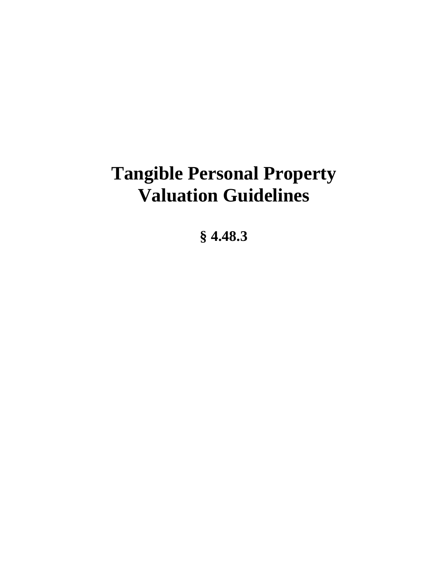# <span id="page-21-0"></span>**Tangible Personal Property Valuation Guidelines**

**§ 4.48.3**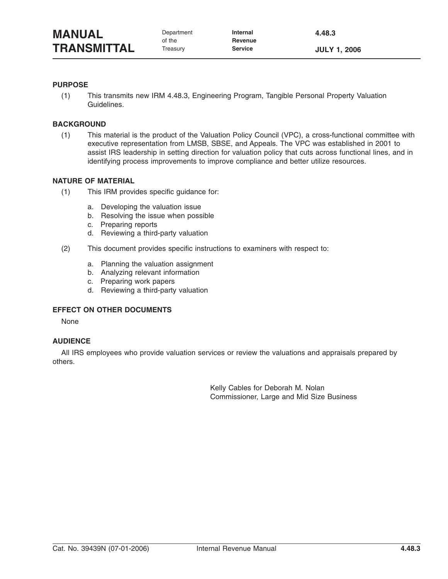**Department** of the **Treasury** 

**Internal Revenue Service**

**4.48.3 JULY 1, 2006**

### <span id="page-22-0"></span>**PURPOSE**

(1) This transmits new IRM 4.48.3, Engineering Program, Tangible Personal Property Valuation Guidelines.

### **BACKGROUND**

(1) This material is the product of the Valuation Policy Council (VPC), a cross-functional committee with executive representation from LMSB, SBSE, and Appeals. The VPC was established in 2001 to assist IRS leadership in setting direction for valuation policy that cuts across functional lines, and in identifying process improvements to improve compliance and better utilize resources.

### **NATURE OF MATERIAL**

- (1) This IRM provides specific guidance for:
	- a. Developing the valuation issue
	- b. Resolving the issue when possible
	- c. Preparing reports
	- d. Reviewing a third-party valuation
- (2) This document provides specific instructions to examiners with respect to:
	- a. Planning the valuation assignment
	- b. Analyzing relevant information
	- c. Preparing work papers
	- d. Reviewing a third-party valuation

### **EFFECT ON OTHER DOCUMENTS**

None

### **AUDIENCE**

All IRS employees who provide valuation services or review the valuations and appraisals prepared by others.

> Kelly Cables for Deborah M. Nolan Commissioner, Large and Mid Size Business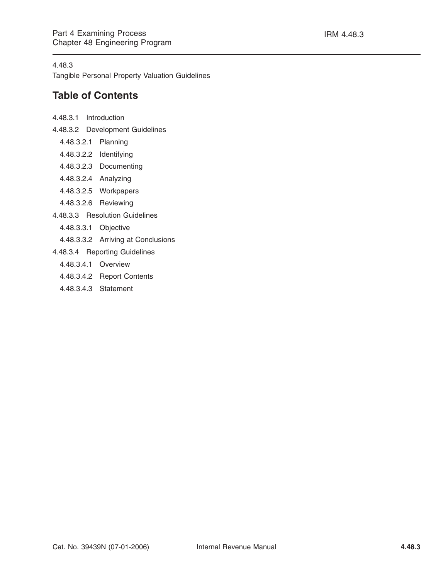### 4.48.3

Tangible Personal Property Valuation Guidelines

### **Table of Contents**

- [4.48.3.1 Introduction](#page-24-0)
- [4.48.3.2 Development Guidelines](#page-24-0)
	- [4.48.3.2.1 Planning](#page-24-0)
	- [4.48.3.2.2 Identifying](#page-24-0)
	- [4.48.3.2.3 Documenting](#page-25-0)
	- [4.48.3.2.4 Analyzing](#page-26-0)
	- [4.48.3.2.5 Workpapers](#page-27-0)
	- [4.48.3.2.6 Reviewing](#page-27-0)
- [4.48.3.3 Resolution Guidelines](#page-27-0)
	- [4.48.3.3.1 Objective](#page-27-0)
	- [4.48.3.3.2 Arriving at Conclusions](#page-27-0)
- [4.48.3.4 Reporting Guidelines](#page-28-0)
	- [4.48.3.4.1 Overview](#page-28-0)
	- [4.48.3.4.2 Report Contents](#page-28-0)
	- [4.48.3.4.3 Statement](#page-28-0)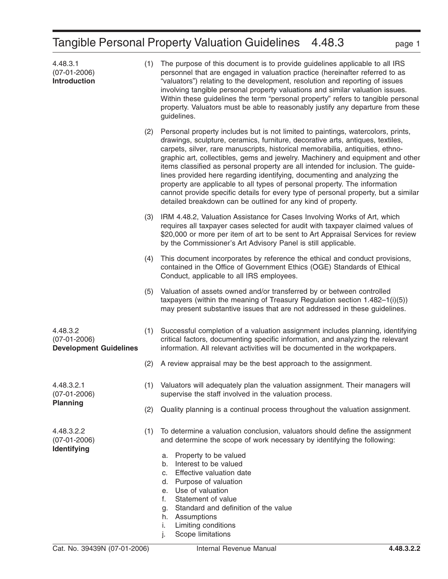### <span id="page-24-0"></span>Tangible Personal Property Valuation Guidelines 4.48.3 hage 1

4.48.3.1 (07-01-2006) **Introduction** (1) The purpose of this document is to provide guidelines applicable to all IRS personnel that are engaged in valuation practice (hereinafter referred to as "valuators") relating to the development, resolution and reporting of issues involving tangible personal property valuations and similar valuation issues. Within these guidelines the term "personal property" refers to tangible personal property. Valuators must be able to reasonably justify any departure from these guidelines. (2) Personal property includes but is not limited to paintings, watercolors, prints, drawings, sculpture, ceramics, furniture, decorative arts, antiques, textiles, carpets, silver, rare manuscripts, historical memorabilia, antiquities, ethnographic art, collectibles, gems and jewelry. Machinery and equipment and other items classified as personal property are all intended for inclusion. The guidelines provided here regarding identifying, documenting and analyzing the property are applicable to all types of personal property. The information cannot provide specific details for every type of personal property, but a similar detailed breakdown can be outlined for any kind of property. (3) IRM 4.48.2, Valuation Assistance for Cases Involving Works of Art, which requires all taxpayer cases selected for audit with taxpayer claimed values of \$20,000 or more per item of art to be sent to Art Appraisal Services for review by the Commissioner's Art Advisory Panel is still applicable. (4) This document incorporates by reference the ethical and conduct provisions, contained in the Office of Government Ethics (OGE) Standards of Ethical Conduct, applicable to all IRS employees. (5) Valuation of assets owned and/or transferred by or between controlled taxpayers (within the meaning of Treasury Regulation section 1.482–1(i)(5)) may present substantive issues that are not addressed in these guidelines. 4.48.3.2 (07-01-2006) **Development Guidelines** (1) Successful completion of a valuation assignment includes planning, identifying critical factors, documenting specific information, and analyzing the relevant information. All relevant activities will be documented in the workpapers. (2) A review appraisal may be the best approach to the assignment. 4.48.3.2.1 (07-01-2006) **Planning** (1) Valuators will adequately plan the valuation assignment. Their managers will supervise the staff involved in the valuation process. (2) Quality planning is a continual process throughout the valuation assignment. 4.48.3.2.2 (07-01-2006) **Identifying** (1) To determine a valuation conclusion, valuators should define the assignment and determine the scope of work necessary by identifying the following: a. Property to be valued b. Interest to be valued c. Effective valuation date d. Purpose of valuation e. Use of valuation f. Statement of value g. Standard and definition of the value h. Assumptions i. Limiting conditions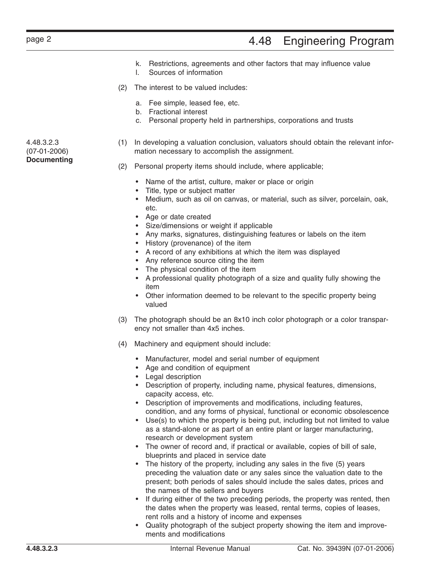## <span id="page-25-0"></span>page 2 4.48 Engineering Program

- k. Restrictions, agreements and other factors that may influence value
- l. Sources of information
- (2) The interest to be valued includes:
	- a. Fee simple, leased fee, etc.
	- b. Fractional interest
	- c. Personal property held in partnerships, corporations and trusts
- (1) In developing a valuation conclusion, valuators should obtain the relevant information necessary to accomplish the assignment.
- (2) Personal property items should include, where applicable;
	- Name of the artist, culture, maker or place or origin
	- Title, type or subject matter
	- Medium, such as oil on canvas, or material, such as silver, porcelain, oak, etc.
	- Age or date created
	- Size/dimensions or weight if applicable
	- Any marks, signatures, distinguishing features or labels on the item
	- History (provenance) of the item
	- A record of any exhibitions at which the item was displayed
	- Any reference source citing the item
	- The physical condition of the item
	- A professional quality photograph of a size and quality fully showing the item
	- Other information deemed to be relevant to the specific property being valued
- (3) The photograph should be an 8x10 inch color photograph or a color transparency not smaller than 4x5 inches.
- (4) Machinery and equipment should include:
	- Manufacturer, model and serial number of equipment
	- Age and condition of equipment
	- Legal description
	- Description of property, including name, physical features, dimensions, capacity access, etc.
	- Description of improvements and modifications, including features, condition, and any forms of physical, functional or economic obsolescence
	- Use(s) to which the property is being put, including but not limited to value as a stand-alone or as part of an entire plant or larger manufacturing, research or development system
	- The owner of record and, if practical or available, copies of bill of sale, blueprints and placed in service date
	- The history of the property, including any sales in the five (5) years preceding the valuation date or any sales since the valuation date to the present; both periods of sales should include the sales dates, prices and the names of the sellers and buyers
	- If during either of the two preceding periods, the property was rented, then the dates when the property was leased, rental terms, copies of leases, rent rolls and a history of income and expenses
	- Quality photograph of the subject property showing the item and improvements and modifications

4.48.3.2.3 (07-01-2006) **Documenting**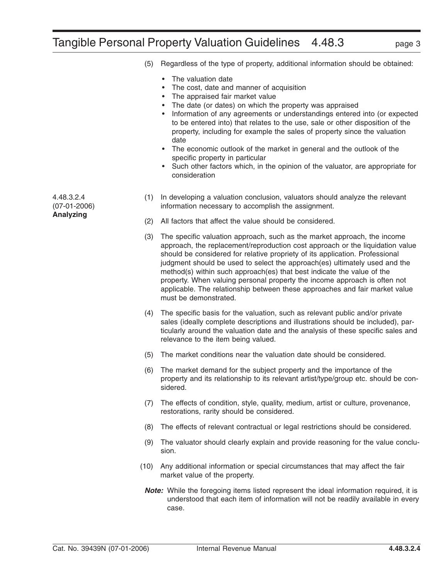### <span id="page-26-0"></span>Tangible Personal Property Valuation Guidelines 4.48.3 hage 3

- (5) Regardless of the type of property, additional information should be obtained:
	- The valuation date
	- The cost, date and manner of acquisition
	- The appraised fair market value
	- The date (or dates) on which the property was appraised
	- Information of any agreements or understandings entered into (or expected to be entered into) that relates to the use, sale or other disposition of the property, including for example the sales of property since the valuation date
	- The economic outlook of the market in general and the outlook of the specific property in particular
	- Such other factors which, in the opinion of the valuator, are appropriate for consideration
- (1) In developing a valuation conclusion, valuators should analyze the relevant information necessary to accomplish the assignment.
- (2) All factors that affect the value should be considered.
- (3) The specific valuation approach, such as the market approach, the income approach, the replacement/reproduction cost approach or the liquidation value should be considered for relative propriety of its application. Professional judgment should be used to select the approach(es) ultimately used and the method(s) within such approach(es) that best indicate the value of the property. When valuing personal property the income approach is often not applicable. The relationship between these approaches and fair market value must be demonstrated.
- (4) The specific basis for the valuation, such as relevant public and/or private sales (ideally complete descriptions and illustrations should be included), particularly around the valuation date and the analysis of these specific sales and relevance to the item being valued.
- (5) The market conditions near the valuation date should be considered.
- (6) The market demand for the subject property and the importance of the property and its relationship to its relevant artist/type/group etc. should be considered.
- (7) The effects of condition, style, quality, medium, artist or culture, provenance, restorations, rarity should be considered.
- (8) The effects of relevant contractual or legal restrictions should be considered.
- (9) The valuator should clearly explain and provide reasoning for the value conclusion.
- (10) Any additional information or special circumstances that may affect the fair market value of the property.
- *Note:* While the foregoing items listed represent the ideal information required, it is understood that each item of information will not be readily available in every case.

4.48.3.2.4 (07-01-2006) **Analyzing**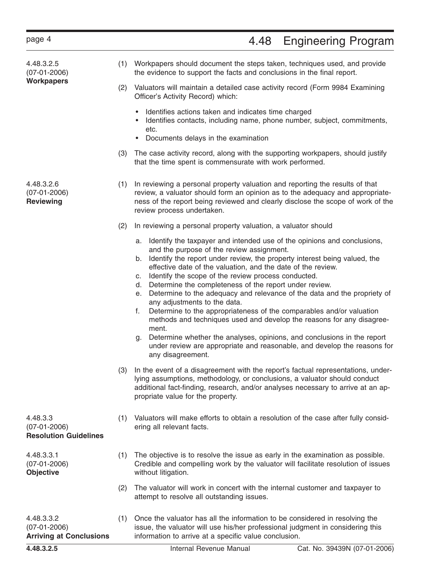<span id="page-27-0"></span>

| page 4                                                         |     | <b>Engineering Program</b><br>4.48                                                                                                                                                                                                                                                                                                                                                                                                                                                                                                                                                                                                                                                                                                                                                                                                                                 |
|----------------------------------------------------------------|-----|--------------------------------------------------------------------------------------------------------------------------------------------------------------------------------------------------------------------------------------------------------------------------------------------------------------------------------------------------------------------------------------------------------------------------------------------------------------------------------------------------------------------------------------------------------------------------------------------------------------------------------------------------------------------------------------------------------------------------------------------------------------------------------------------------------------------------------------------------------------------|
| 4.48.3.2.5<br>$(07-01-2006)$                                   | (1) | Workpapers should document the steps taken, techniques used, and provide<br>the evidence to support the facts and conclusions in the final report.                                                                                                                                                                                                                                                                                                                                                                                                                                                                                                                                                                                                                                                                                                                 |
| <b>Workpapers</b>                                              | (2) | Valuators will maintain a detailed case activity record (Form 9984 Examining<br>Officer's Activity Record) which:                                                                                                                                                                                                                                                                                                                                                                                                                                                                                                                                                                                                                                                                                                                                                  |
|                                                                |     | Identifies actions taken and indicates time charged<br>$\bullet$<br>Identifies contacts, including name, phone number, subject, commitments,<br>etc.<br>Documents delays in the examination                                                                                                                                                                                                                                                                                                                                                                                                                                                                                                                                                                                                                                                                        |
|                                                                | (3) | The case activity record, along with the supporting workpapers, should justify<br>that the time spent is commensurate with work performed.                                                                                                                                                                                                                                                                                                                                                                                                                                                                                                                                                                                                                                                                                                                         |
| 4.48.3.2.6<br>$(07-01-2006)$<br><b>Reviewing</b>               | (1) | In reviewing a personal property valuation and reporting the results of that<br>review, a valuator should form an opinion as to the adequacy and appropriate-<br>ness of the report being reviewed and clearly disclose the scope of work of the<br>review process undertaken.                                                                                                                                                                                                                                                                                                                                                                                                                                                                                                                                                                                     |
|                                                                | (2) | In reviewing a personal property valuation, a valuator should                                                                                                                                                                                                                                                                                                                                                                                                                                                                                                                                                                                                                                                                                                                                                                                                      |
|                                                                |     | a. Identify the taxpayer and intended use of the opinions and conclusions,<br>and the purpose of the review assignment.<br>b. Identify the report under review, the property interest being valued, the<br>effective date of the valuation, and the date of the review.<br>c. Identify the scope of the review process conducted.<br>d. Determine the completeness of the report under review.<br>Determine to the adequacy and relevance of the data and the propriety of<br>е.<br>any adjustments to the data.<br>Determine to the appropriateness of the comparables and/or valuation<br>f.<br>methods and techniques used and develop the reasons for any disagree-<br>ment.<br>Determine whether the analyses, opinions, and conclusions in the report<br>g.<br>under review are appropriate and reasonable, and develop the reasons for<br>any disagreement. |
|                                                                | (3) | In the event of a disagreement with the report's factual representations, under-<br>lying assumptions, methodology, or conclusions, a valuator should conduct<br>additional fact-finding, research, and/or analyses necessary to arrive at an ap-<br>propriate value for the property.                                                                                                                                                                                                                                                                                                                                                                                                                                                                                                                                                                             |
| 4.48.3.3<br>$(07-01-2006)$<br><b>Resolution Guidelines</b>     | (1) | Valuators will make efforts to obtain a resolution of the case after fully consid-<br>ering all relevant facts.                                                                                                                                                                                                                                                                                                                                                                                                                                                                                                                                                                                                                                                                                                                                                    |
| 4.48.3.3.1<br>$(07-01-2006)$<br><b>Objective</b>               | (1) | The objective is to resolve the issue as early in the examination as possible.<br>Credible and compelling work by the valuator will facilitate resolution of issues<br>without litigation.                                                                                                                                                                                                                                                                                                                                                                                                                                                                                                                                                                                                                                                                         |
|                                                                | (2) | The valuator will work in concert with the internal customer and taxpayer to<br>attempt to resolve all outstanding issues.                                                                                                                                                                                                                                                                                                                                                                                                                                                                                                                                                                                                                                                                                                                                         |
| 4.48.3.3.2<br>$(07-01-2006)$<br><b>Arriving at Conclusions</b> | (1) | Once the valuator has all the information to be considered in resolving the<br>issue, the valuator will use his/her professional judgment in considering this<br>information to arrive at a specific value conclusion.                                                                                                                                                                                                                                                                                                                                                                                                                                                                                                                                                                                                                                             |
| 4.48.3.2.5                                                     |     | Internal Revenue Manual<br>Cat. No. 39439N (07-01-2006)                                                                                                                                                                                                                                                                                                                                                                                                                                                                                                                                                                                                                                                                                                                                                                                                            |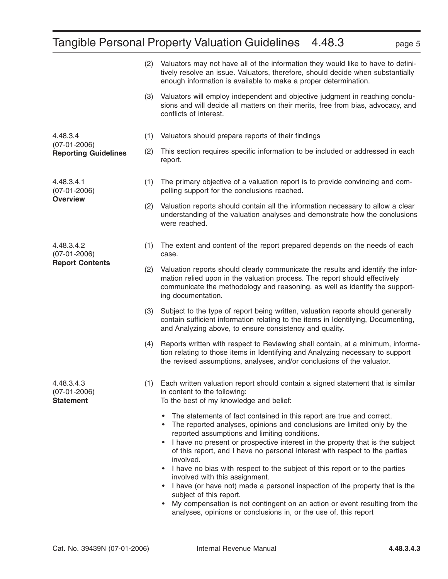# <span id="page-28-0"></span>Tangible Personal Property Valuation Guidelines 4.48.3 page 5

|                                                  | (2) | Valuators may not have all of the information they would like to have to defini-<br>tively resolve an issue. Valuators, therefore, should decide when substantially<br>enough information is available to make a proper determination.                                                                                                                                                             |
|--------------------------------------------------|-----|----------------------------------------------------------------------------------------------------------------------------------------------------------------------------------------------------------------------------------------------------------------------------------------------------------------------------------------------------------------------------------------------------|
|                                                  | (3) | Valuators will employ independent and objective judgment in reaching conclu-<br>sions and will decide all matters on their merits, free from bias, advocacy, and<br>conflicts of interest.                                                                                                                                                                                                         |
| 4.48.3.4                                         | (1) | Valuators should prepare reports of their findings                                                                                                                                                                                                                                                                                                                                                 |
| $(07-01-2006)$<br><b>Reporting Guidelines</b>    | (2) | This section requires specific information to be included or addressed in each<br>report.                                                                                                                                                                                                                                                                                                          |
| 4.48.3.4.1<br>$(07-01-2006)$                     | (1) | The primary objective of a valuation report is to provide convincing and com-<br>pelling support for the conclusions reached.                                                                                                                                                                                                                                                                      |
| <b>Overview</b>                                  | (2) | Valuation reports should contain all the information necessary to allow a clear<br>understanding of the valuation analyses and demonstrate how the conclusions<br>were reached.                                                                                                                                                                                                                    |
| 4.48.3.4.2<br>$(07-01-2006)$                     | (1) | The extent and content of the report prepared depends on the needs of each<br>case.                                                                                                                                                                                                                                                                                                                |
| <b>Report Contents</b>                           | (2) | Valuation reports should clearly communicate the results and identify the infor-<br>mation relied upon in the valuation process. The report should effectively<br>communicate the methodology and reasoning, as well as identify the support-<br>ing documentation.                                                                                                                                |
|                                                  | (3) | Subject to the type of report being written, valuation reports should generally<br>contain sufficient information relating to the items in Identifying, Documenting,<br>and Analyzing above, to ensure consistency and quality.                                                                                                                                                                    |
|                                                  | (4) | Reports written with respect to Reviewing shall contain, at a minimum, informa-<br>tion relating to those items in Identifying and Analyzing necessary to support<br>the revised assumptions, analyses, and/or conclusions of the valuator.                                                                                                                                                        |
| 4.48.3.4.3<br>$(07-01-2006)$<br><b>Statement</b> | (1) | Each written valuation report should contain a signed statement that is similar<br>in content to the following:<br>To the best of my knowledge and belief:                                                                                                                                                                                                                                         |
|                                                  |     | The statements of fact contained in this report are true and correct.<br>$\bullet$<br>The reported analyses, opinions and conclusions are limited only by the<br>٠<br>reported assumptions and limiting conditions.<br>• I have no present or prospective interest in the property that is the subject<br>of this report, and I have no personal interest with respect to the parties<br>involved. |
|                                                  |     | I have no bias with respect to the subject of this report or to the parties<br>$\bullet$<br>involved with this assignment.<br>I have (or have not) made a personal inspection of the property that is the<br>٠                                                                                                                                                                                     |
|                                                  |     | subject of this report.<br>My compensation is not contingent on an action or event resulting from the<br>analyses, opinions or conclusions in, or the use of, this report                                                                                                                                                                                                                          |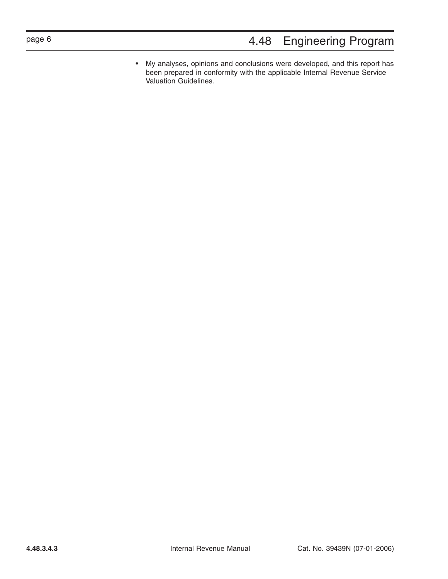• My analyses, opinions and conclusions were developed, and this report has been prepared in conformity with the applicable Internal Revenue Service Valuation Guidelines.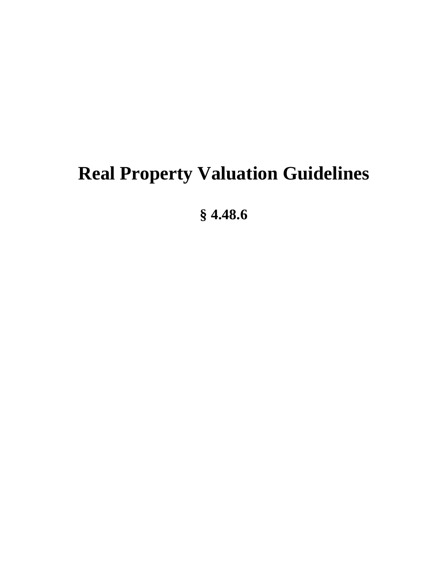# <span id="page-30-0"></span>**Real Property Valuation Guidelines**

**§ 4.48.6**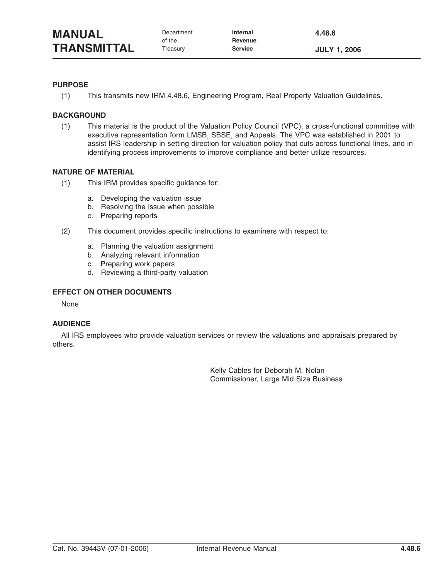Department of the **Treasury** 

**Internal Revenue Service**

**4.48.6 JULY 1, 2006**

### <span id="page-31-0"></span>**PURPOSE**

(1) This transmits new IRM 4.48.6, Engineering Program, Real Property Valuation Guidelines.

### **BACKGROUND**

(1) This material is the product of the Valuation Policy Council (VPC), a cross-functional committee with executive representation form LMSB, SBSE, and Appeals. The VPC was established in 2001 to assist IRS leadership in setting direction for valuation policy that cuts across functional lines, and in identifying process improvements to improve compliance and better utilize resources.

#### **NATURE OF MATERIAL**

- (1) This IRM provides specific guidance for:
	- a. Developing the valuation issue
	- b. Resolving the issue when possible
	- c. Preparing reports
- (2) This document provides specific instructions to examiners with respect to:
	- a. Planning the valuation assignment
	- b. Analyzing relevant information
	- c. Preparing work papers
	- d. Reviewing a third-party valuation

### **EFFECT ON OTHER DOCUMENTS**

None

### **AUDIENCE**

All IRS employees who provide valuation services or review the valuations and appraisals prepared by others.

> Kelly Cables for Deborah M. Nolan Commissioner, Large Mid Size Business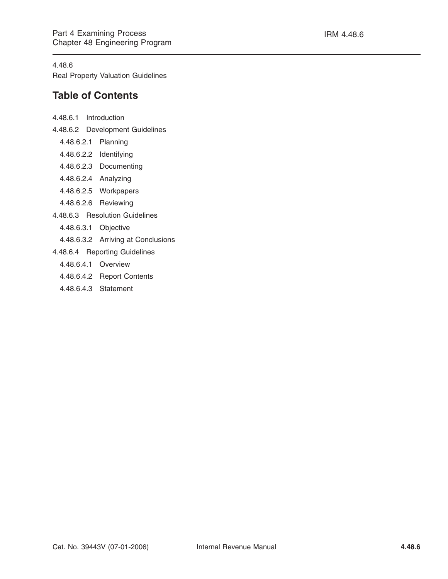### 4.48.6

Real Property Valuation Guidelines

### **Table of Contents**

- [4.48.6.1 Introduction](#page-33-0)
- [4.48.6.2 Development Guidelines](#page-33-0)
	- [4.48.6.2.1 Planning](#page-33-0)
	- [4.48.6.2.2 Identifying](#page-33-0)
	- [4.48.6.2.3 Documenting](#page-33-0)
	- [4.48.6.2.4 Analyzing](#page-34-0)
	- [4.48.6.2.5 Workpapers](#page-35-0)
	- [4.48.6.2.6 Reviewing](#page-36-0)
- [4.48.6.3 Resolution Guidelines](#page-36-0)
	- [4.48.6.3.1 Objective](#page-36-0)
	- [4.48.6.3.2 Arriving at Conclusions](#page-36-0)
- [4.48.6.4 Reporting Guidelines](#page-37-0)
	- [4.48.6.4.1 Overview](#page-37-0)
	- [4.48.6.4.2 Report Contents](#page-37-0)
	- [4.48.6.4.3 Statement](#page-37-0)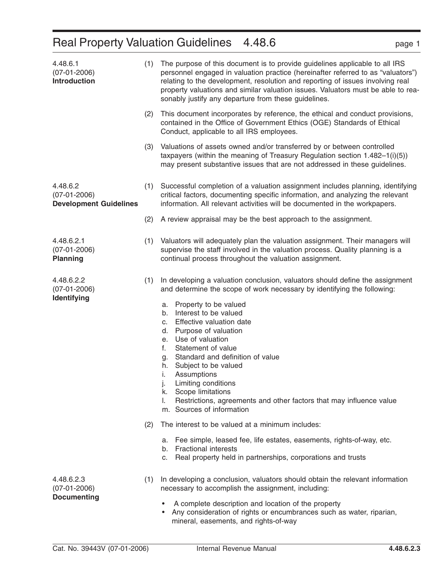# <span id="page-33-0"></span>Real Property Valuation Guidelines 4.48.6 page 1

| 4.48.6.1<br>$(07-01-2006)$<br><b>Introduction</b>           |            | (1) The purpose of this document is to provide guidelines applicable to all IRS<br>personnel engaged in valuation practice (hereinafter referred to as "valuators")<br>relating to the development, resolution and reporting of issues involving real<br>property valuations and similar valuation issues. Valuators must be able to rea-<br>sonably justify any departure from these guidelines.                                                                                                                                                                                                                                                                                                                                                                                                                  |
|-------------------------------------------------------------|------------|--------------------------------------------------------------------------------------------------------------------------------------------------------------------------------------------------------------------------------------------------------------------------------------------------------------------------------------------------------------------------------------------------------------------------------------------------------------------------------------------------------------------------------------------------------------------------------------------------------------------------------------------------------------------------------------------------------------------------------------------------------------------------------------------------------------------|
|                                                             | (2)        | This document incorporates by reference, the ethical and conduct provisions,<br>contained in the Office of Government Ethics (OGE) Standards of Ethical<br>Conduct, applicable to all IRS employees.                                                                                                                                                                                                                                                                                                                                                                                                                                                                                                                                                                                                               |
|                                                             |            | (3) Valuations of assets owned and/or transferred by or between controlled<br>taxpayers (within the meaning of Treasury Regulation section 1.482-1(i)(5))<br>may present substantive issues that are not addressed in these guidelines.                                                                                                                                                                                                                                                                                                                                                                                                                                                                                                                                                                            |
| 4.48.6.2<br>$(07-01-2006)$<br><b>Development Guidelines</b> |            | (1) Successful completion of a valuation assignment includes planning, identifying<br>critical factors, documenting specific information, and analyzing the relevant<br>information. All relevant activities will be documented in the workpapers.                                                                                                                                                                                                                                                                                                                                                                                                                                                                                                                                                                 |
|                                                             | (2)        | A review appraisal may be the best approach to the assignment.                                                                                                                                                                                                                                                                                                                                                                                                                                                                                                                                                                                                                                                                                                                                                     |
| 4.48.6.2.1<br>$(07-01-2006)$<br><b>Planning</b>             |            | (1) Valuators will adequately plan the valuation assignment. Their managers will<br>supervise the staff involved in the valuation process. Quality planning is a<br>continual process throughout the valuation assignment.                                                                                                                                                                                                                                                                                                                                                                                                                                                                                                                                                                                         |
| 4.48.6.2.2<br>$(07-01-2006)$<br>Identifying                 | (1)<br>(2) | In developing a valuation conclusion, valuators should define the assignment<br>and determine the scope of work necessary by identifying the following:<br>a. Property to be valued<br>b. Interest to be valued<br>c. Effective valuation date<br>d. Purpose of valuation<br>e. Use of valuation<br>Statement of value<br>f.<br>g. Standard and definition of value<br>h. Subject to be valued<br>Assumptions<br>i.<br>Limiting conditions<br>k. Scope limitations<br>Restrictions, agreements and other factors that may influence value<br>m. Sources of information<br>The interest to be valued at a minimum includes:<br>Fee simple, leased fee, life estates, easements, rights-of-way, etc.<br>a.<br><b>Fractional interests</b><br>b.<br>Real property held in partnerships, corporations and trusts<br>c. |
| 4.48.6.2.3<br>$(07-01-2006)$<br><b>Documenting</b>          | (1)        | In developing a conclusion, valuators should obtain the relevant information<br>necessary to accomplish the assignment, including:<br>A complete description and location of the property<br>Any consideration of rights or encumbrances such as water, riparian,<br>mineral, easements, and rights-of-way                                                                                                                                                                                                                                                                                                                                                                                                                                                                                                         |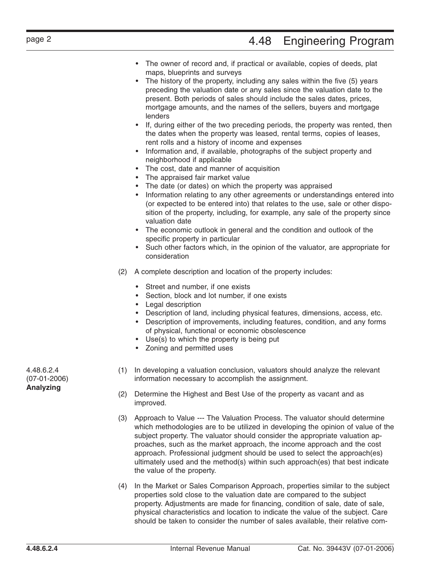- <span id="page-34-0"></span>• The owner of record and, if practical or available, copies of deeds, plat maps, blueprints and surveys
- The history of the property, including any sales within the five (5) years preceding the valuation date or any sales since the valuation date to the present. Both periods of sales should include the sales dates, prices, mortgage amounts, and the names of the sellers, buyers and mortgage lenders
- If, during either of the two preceding periods, the property was rented, then the dates when the property was leased, rental terms, copies of leases, rent rolls and a history of income and expenses
- Information and, if available, photographs of the subject property and neighborhood if applicable
- The cost, date and manner of acquisition
- The appraised fair market value
- The date (or dates) on which the property was appraised
- Information relating to any other agreements or understandings entered into (or expected to be entered into) that relates to the use, sale or other disposition of the property, including, for example, any sale of the property since valuation date
- The economic outlook in general and the condition and outlook of the specific property in particular
- Such other factors which, in the opinion of the valuator, are appropriate for consideration
- (2) A complete description and location of the property includes:
	- Street and number, if one exists
	- Section, block and lot number, if one exists
	- Legal description
	- Description of land, including physical features, dimensions, access, etc.
	- Description of improvements, including features, condition, and any forms of physical, functional or economic obsolescence
	- Use(s) to which the property is being put
	- Zoning and permitted uses
- (1) In developing a valuation conclusion, valuators should analyze the relevant information necessary to accomplish the assignment.
- (2) Determine the Highest and Best Use of the property as vacant and as improved.
- (3) Approach to Value --- The Valuation Process. The valuator should determine which methodologies are to be utilized in developing the opinion of value of the subject property. The valuator should consider the appropriate valuation approaches, such as the market approach, the income approach and the cost approach. Professional judgment should be used to select the approach(es) ultimately used and the method(s) within such approach(es) that best indicate the value of the property.
- (4) In the Market or Sales Comparison Approach, properties similar to the subject properties sold close to the valuation date are compared to the subject property. Adjustments are made for financing, condition of sale, date of sale, physical characteristics and location to indicate the value of the subject. Care should be taken to consider the number of sales available, their relative com-

4.48.6.2.4 (07-01-2006) **Analyzing**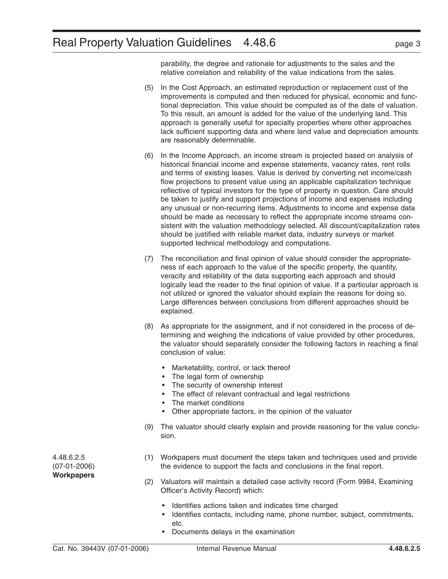parability, the degree and rationale for adjustments to the sales and the relative correlation and reliability of the value indications from the sales.

- <span id="page-35-0"></span>(5) In the Cost Approach, an estimated reproduction or replacement cost of the improvements is computed and then reduced for physical, economic and functional depreciation. This value should be computed as of the date of valuation. To this result, an amount is added for the value of the underlying land. This approach is generally useful for specialty properties where other approaches lack sufficient supporting data and where land value and depreciation amounts are reasonably determinable.
- (6) In the Income Approach, an income stream is projected based on analysis of historical financial income and expense statements, vacancy rates, rent rolls and terms of existing leases. Value is derived by converting net income/cash flow projections to present value using an applicable capitalization technique reflective of typical investors for the type of property in question. Care should be taken to justify and support projections of income and expenses including any unusual or non-recurring items. Adjustments to income and expense data should be made as necessary to reflect the appropriate income streams consistent with the valuation methodology selected. All discount/capitalization rates should be justified with reliable market data, industry surveys or market supported technical methodology and computations.
- (7) The reconciliation and final opinion of value should consider the appropriateness of each approach to the value of the specific property, the quantity, veracity and reliability of the data supporting each approach and should logically lead the reader to the final opinion of value. If a particular approach is not utilized or ignored the valuator should explain the reasons for doing so. Large differences between conclusions from different approaches should be explained.
- (8) As appropriate for the assignment, and if not considered in the process of determining and weighing the indications of value provided by other procedures, the valuator should separately consider the following factors in reaching a final conclusion of value:
	- Marketability, control, or lack thereof
	- The legal form of ownership
	- The security of ownership interest
	- The effect of relevant contractual and legal restrictions
	- The market conditions
	- Other appropriate factors, in the opinion of the valuator
- (9) The valuator should clearly explain and provide reasoning for the value conclusion.
- (1) Workpapers must document the steps taken and techniques used and provide the evidence to support the facts and conclusions in the final report.
- (2) Valuators will maintain a detailed case activity record (Form 9984, Examining Officer's Activity Record) which:
	- Identifies actions taken and indicates time charged
	- Identifies contacts, including name, phone number, subject, commitments, etc.
	- Documents delays in the examination

4.48.6.2.5 (07-01-2006) **Workpapers**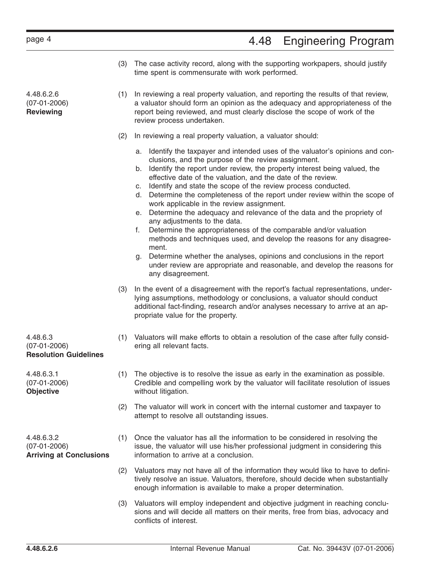<span id="page-36-0"></span>4.48.6.2.6 (07-01-2006) **Reviewing**

- (3) The case activity record, along with the supporting workpapers, should justify time spent is commensurate with work performed.
- (1) In reviewing a real property valuation, and reporting the results of that review, a valuator should form an opinion as the adequacy and appropriateness of the report being reviewed, and must clearly disclose the scope of work of the review process undertaken.
- (2) In reviewing a real property valuation, a valuator should:
	- a. Identify the taxpayer and intended uses of the valuator's opinions and conclusions, and the purpose of the review assignment.
	- b. Identify the report under review, the property interest being valued, the effective date of the valuation, and the date of the review.
	- c. Identify and state the scope of the review process conducted.
	- d. Determine the completeness of the report under review within the scope of work applicable in the review assignment.
	- e. Determine the adequacy and relevance of the data and the propriety of any adjustments to the data.
	- f. Determine the appropriateness of the comparable and/or valuation methods and techniques used, and develop the reasons for any disagreement.
	- g. Determine whether the analyses, opinions and conclusions in the report under review are appropriate and reasonable, and develop the reasons for any disagreement.
- (3) In the event of a disagreement with the report's factual representations, underlying assumptions, methodology or conclusions, a valuator should conduct additional fact-finding, research and/or analyses necessary to arrive at an appropriate value for the property.
- (1) Valuators will make efforts to obtain a resolution of the case after fully considering all relevant facts.
- (1) The objective is to resolve the issue as early in the examination as possible. Credible and compelling work by the valuator will facilitate resolution of issues without litigation.
- (2) The valuator will work in concert with the internal customer and taxpayer to attempt to resolve all outstanding issues.
- (1) Once the valuator has all the information to be considered in resolving the issue, the valuator will use his/her professional judgment in considering this information to arrive at a conclusion.
- (2) Valuators may not have all of the information they would like to have to definitively resolve an issue. Valuators, therefore, should decide when substantially enough information is available to make a proper determination.
- (3) Valuators will employ independent and objective judgment in reaching conclusions and will decide all matters on their merits, free from bias, advocacy and conflicts of interest.

4.48.6.3 (07-01-2006) **Resolution Guidelines**

4.48.6.3.1 (07-01-2006) **Objective**

4.48.6.3.2 (07-01-2006) **Arriving at Conclusions**